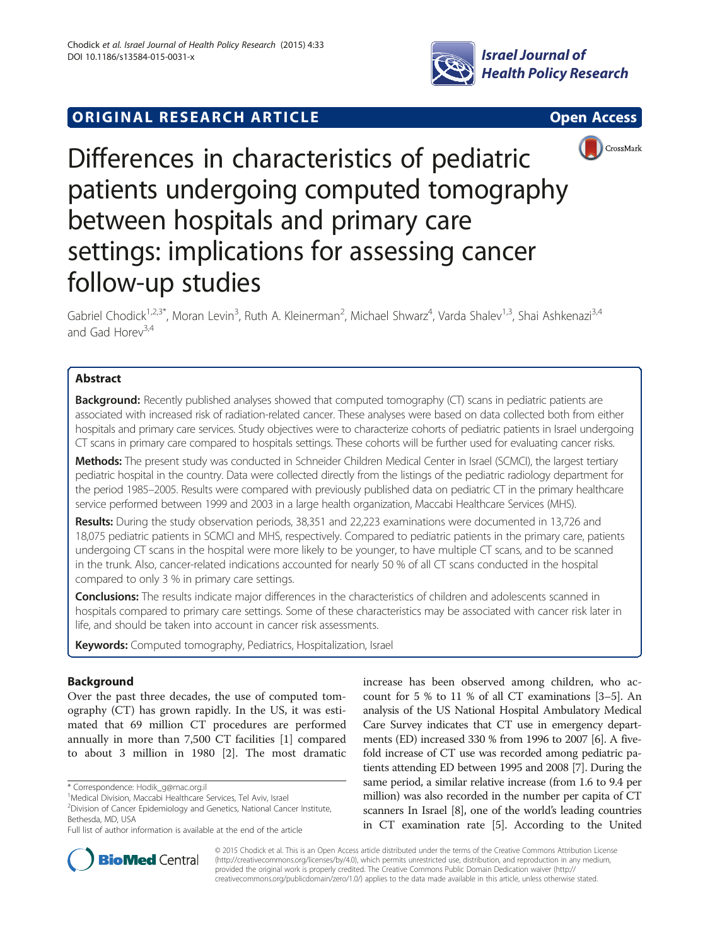

## **ORIGINAL RESEARCH ARTICLE CONSUMING ACCESS**





# Differences in characteristics of pediatric patients undergoing computed tomography between hospitals and primary care settings: implications for assessing cancer follow-up studies

Gabriel Chodick<sup>1,2,3\*</sup>, Moran Levin<sup>3</sup>, Ruth A. Kleinerman<sup>2</sup>, Michael Shwarz<sup>4</sup>, Varda Shalev<sup>1,3</sup>, Shai Ashkenazi<sup>3,4</sup> and Gad Horev $^{3,4}$ 

## Abstract

Background: Recently published analyses showed that computed tomography (CT) scans in pediatric patients are associated with increased risk of radiation-related cancer. These analyses were based on data collected both from either hospitals and primary care services. Study objectives were to characterize cohorts of pediatric patients in Israel undergoing CT scans in primary care compared to hospitals settings. These cohorts will be further used for evaluating cancer risks.

Methods: The present study was conducted in Schneider Children Medical Center in Israel (SCMCI), the largest tertiary pediatric hospital in the country. Data were collected directly from the listings of the pediatric radiology department for the period 1985–2005. Results were compared with previously published data on pediatric CT in the primary healthcare service performed between 1999 and 2003 in a large health organization, Maccabi Healthcare Services (MHS).

Results: During the study observation periods, 38,351 and 22,223 examinations were documented in 13,726 and 18,075 pediatric patients in SCMCI and MHS, respectively. Compared to pediatric patients in the primary care, patients undergoing CT scans in the hospital were more likely to be younger, to have multiple CT scans, and to be scanned in the trunk. Also, cancer-related indications accounted for nearly 50 % of all CT scans conducted in the hospital compared to only 3 % in primary care settings.

Conclusions: The results indicate major differences in the characteristics of children and adolescents scanned in hospitals compared to primary care settings. Some of these characteristics may be associated with cancer risk later in life, and should be taken into account in cancer risk assessments.

Keywords: Computed tomography, Pediatrics, Hospitalization, Israel

### Background

Over the past three decades, the use of computed tomography (CT) has grown rapidly. In the US, it was estimated that 69 million CT procedures are performed annually in more than 7,500 CT facilities [[1\]](#page-5-0) compared to about 3 million in 1980 [[2](#page-5-0)]. The most dramatic

\* Correspondence: [Hodik\\_g@mac.org.il](mailto:Hodik_g@mac.org.il) <sup>1</sup>

increase has been observed among children, who account for 5 % to 11 % of all CT examinations [\[3](#page-5-0)–[5\]](#page-5-0). An analysis of the US National Hospital Ambulatory Medical Care Survey indicates that CT use in emergency departments (ED) increased 330 % from 1996 to 2007 [\[6\]](#page-5-0). A fivefold increase of CT use was recorded among pediatric patients attending ED between 1995 and 2008 [\[7\]](#page-5-0). During the same period, a similar relative increase (from 1.6 to 9.4 per million) was also recorded in the number per capita of CT scanners In Israel [[8](#page-5-0)], one of the world's leading countries in CT examination rate [[5](#page-5-0)]. According to the United



© 2015 Chodick et al. This is an Open Access article distributed under the terms of the Creative Commons Attribution License [\(http://creativecommons.org/licenses/by/4.0\)](http://creativecommons.org/licenses/by/4.0), which permits unrestricted use, distribution, and reproduction in any medium, provided the original work is properly credited. The Creative Commons Public Domain Dedication waiver [\(http://](http://creativecommons.org/publicdomain/zero/1.0/) [creativecommons.org/publicdomain/zero/1.0/\)](http://creativecommons.org/publicdomain/zero/1.0/) applies to the data made available in this article, unless otherwise stated.

<sup>&</sup>lt;sup>1</sup>Medical Division, Maccabi Healthcare Services, Tel Aviv, Israel

<sup>&</sup>lt;sup>2</sup>Division of Cancer Epidemiology and Genetics, National Cancer Institute, Bethesda, MD, USA

Full list of author information is available at the end of the article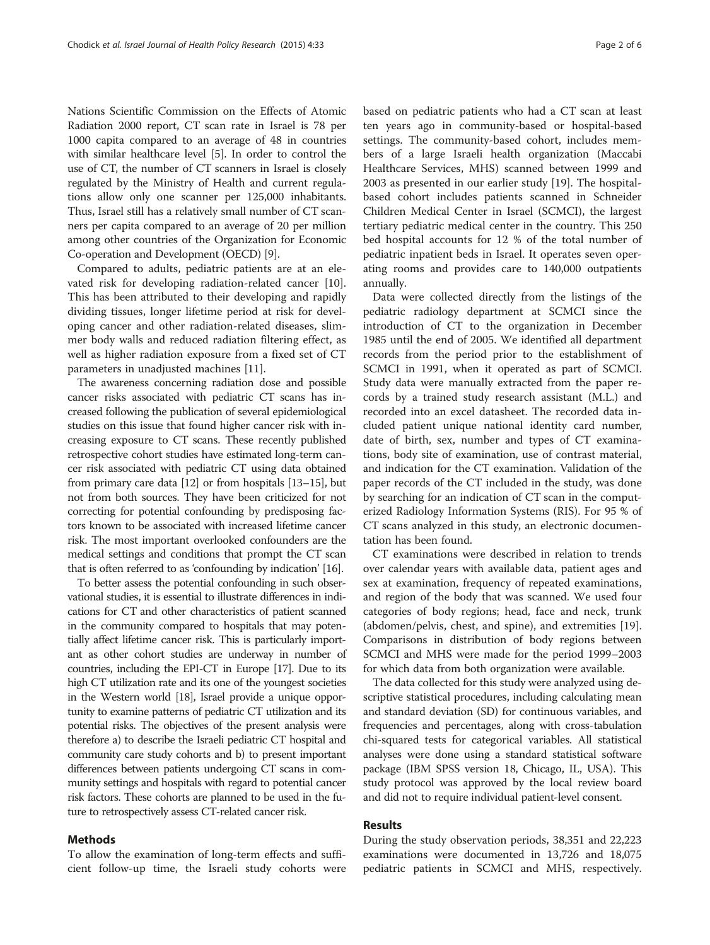Nations Scientific Commission on the Effects of Atomic Radiation 2000 report, CT scan rate in Israel is 78 per 1000 capita compared to an average of 48 in countries with similar healthcare level [\[5](#page-5-0)]. In order to control the use of CT, the number of CT scanners in Israel is closely regulated by the Ministry of Health and current regulations allow only one scanner per 125,000 inhabitants. Thus, Israel still has a relatively small number of CT scanners per capita compared to an average of 20 per million among other countries of the Organization for Economic Co-operation and Development (OECD) [[9\]](#page-5-0).

Compared to adults, pediatric patients are at an elevated risk for developing radiation-related cancer [\[10](#page-5-0)]. This has been attributed to their developing and rapidly dividing tissues, longer lifetime period at risk for developing cancer and other radiation-related diseases, slimmer body walls and reduced radiation filtering effect, as well as higher radiation exposure from a fixed set of CT parameters in unadjusted machines [\[11\]](#page-5-0).

The awareness concerning radiation dose and possible cancer risks associated with pediatric CT scans has increased following the publication of several epidemiological studies on this issue that found higher cancer risk with increasing exposure to CT scans. These recently published retrospective cohort studies have estimated long-term cancer risk associated with pediatric CT using data obtained from primary care data [[12](#page-5-0)] or from hospitals [\[13](#page-5-0)–[15](#page-5-0)], but not from both sources. They have been criticized for not correcting for potential confounding by predisposing factors known to be associated with increased lifetime cancer risk. The most important overlooked confounders are the medical settings and conditions that prompt the CT scan that is often referred to as 'confounding by indication' [[16](#page-5-0)].

To better assess the potential confounding in such observational studies, it is essential to illustrate differences in indications for CT and other characteristics of patient scanned in the community compared to hospitals that may potentially affect lifetime cancer risk. This is particularly important as other cohort studies are underway in number of countries, including the EPI-CT in Europe [\[17\]](#page-5-0). Due to its high CT utilization rate and its one of the youngest societies in the Western world [\[18](#page-5-0)], Israel provide a unique opportunity to examine patterns of pediatric CT utilization and its potential risks. The objectives of the present analysis were therefore a) to describe the Israeli pediatric CT hospital and community care study cohorts and b) to present important differences between patients undergoing CT scans in community settings and hospitals with regard to potential cancer risk factors. These cohorts are planned to be used in the future to retrospectively assess CT-related cancer risk.

#### Methods

To allow the examination of long-term effects and sufficient follow-up time, the Israeli study cohorts were

based on pediatric patients who had a CT scan at least ten years ago in community-based or hospital-based settings. The community-based cohort, includes members of a large Israeli health organization (Maccabi Healthcare Services, MHS) scanned between 1999 and 2003 as presented in our earlier study [[19\]](#page-5-0). The hospitalbased cohort includes patients scanned in Schneider Children Medical Center in Israel (SCMCI), the largest tertiary pediatric medical center in the country. This 250 bed hospital accounts for 12 % of the total number of pediatric inpatient beds in Israel. It operates seven operating rooms and provides care to 140,000 outpatients annually.

Data were collected directly from the listings of the pediatric radiology department at SCMCI since the introduction of CT to the organization in December 1985 until the end of 2005. We identified all department records from the period prior to the establishment of SCMCI in 1991, when it operated as part of SCMCI. Study data were manually extracted from the paper records by a trained study research assistant (M.L.) and recorded into an excel datasheet. The recorded data included patient unique national identity card number, date of birth, sex, number and types of CT examinations, body site of examination, use of contrast material, and indication for the CT examination. Validation of the paper records of the CT included in the study, was done by searching for an indication of CT scan in the computerized Radiology Information Systems (RIS). For 95 % of CT scans analyzed in this study, an electronic documentation has been found.

CT examinations were described in relation to trends over calendar years with available data, patient ages and sex at examination, frequency of repeated examinations, and region of the body that was scanned. We used four categories of body regions; head, face and neck, trunk (abdomen/pelvis, chest, and spine), and extremities [\[19](#page-5-0)]. Comparisons in distribution of body regions between SCMCI and MHS were made for the period 1999–2003 for which data from both organization were available.

The data collected for this study were analyzed using descriptive statistical procedures, including calculating mean and standard deviation (SD) for continuous variables, and frequencies and percentages, along with cross-tabulation chi-squared tests for categorical variables. All statistical analyses were done using a standard statistical software package (IBM SPSS version 18, Chicago, IL, USA). This study protocol was approved by the local review board and did not to require individual patient-level consent.

#### Results

During the study observation periods, 38,351 and 22,223 examinations were documented in 13,726 and 18,075 pediatric patients in SCMCI and MHS, respectively.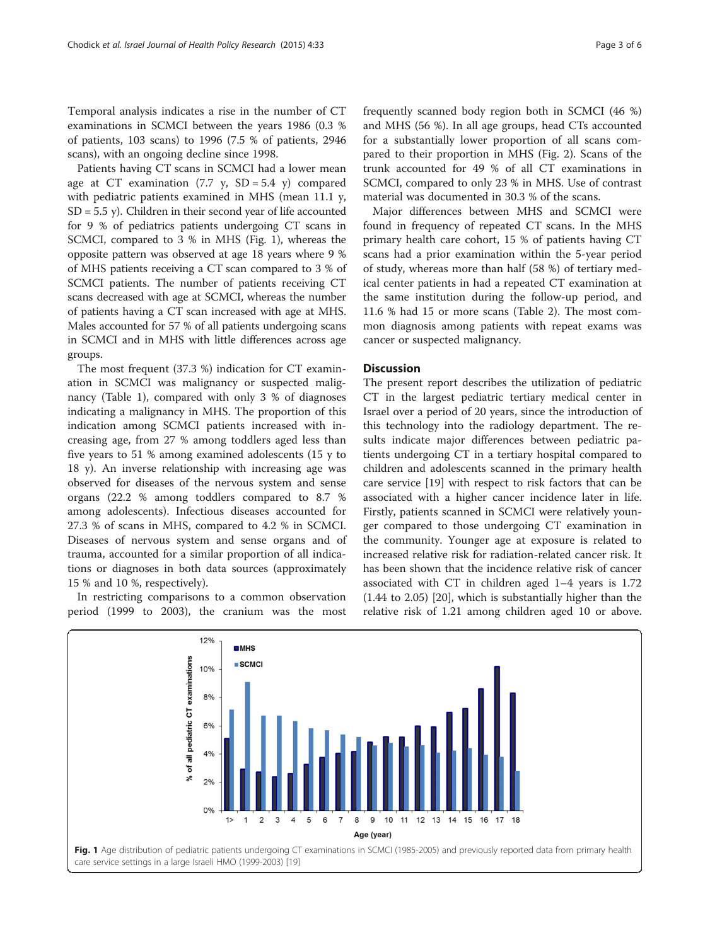Temporal analysis indicates a rise in the number of CT examinations in SCMCI between the years 1986 (0.3 % of patients, 103 scans) to 1996 (7.5 % of patients, 2946 scans), with an ongoing decline since 1998.

Patients having CT scans in SCMCI had a lower mean age at CT examination  $(7.7 \, y, SD = 5.4 \, y)$  compared with pediatric patients examined in MHS (mean 11.1 y,  $SD = 5.5$  y). Children in their second year of life accounted for 9 % of pediatrics patients undergoing CT scans in SCMCI, compared to 3 % in MHS (Fig. 1), whereas the opposite pattern was observed at age 18 years where 9 % of MHS patients receiving a CT scan compared to 3 % of SCMCI patients. The number of patients receiving CT scans decreased with age at SCMCI, whereas the number of patients having a CT scan increased with age at MHS. Males accounted for 57 % of all patients undergoing scans in SCMCI and in MHS with little differences across age groups.

The most frequent (37.3 %) indication for CT examination in SCMCI was malignancy or suspected malignancy (Table [1\)](#page-3-0), compared with only 3 % of diagnoses indicating a malignancy in MHS. The proportion of this indication among SCMCI patients increased with increasing age, from 27 % among toddlers aged less than five years to 51 % among examined adolescents (15 y to 18 y). An inverse relationship with increasing age was observed for diseases of the nervous system and sense organs (22.2 % among toddlers compared to 8.7 % among adolescents). Infectious diseases accounted for 27.3 % of scans in MHS, compared to 4.2 % in SCMCI. Diseases of nervous system and sense organs and of trauma, accounted for a similar proportion of all indications or diagnoses in both data sources (approximately 15 % and 10 %, respectively).

In restricting comparisons to a common observation period (1999 to 2003), the cranium was the most frequently scanned body region both in SCMCI (46 %) and MHS (56 %). In all age groups, head CTs accounted for a substantially lower proportion of all scans compared to their proportion in MHS (Fig. [2\)](#page-3-0). Scans of the trunk accounted for 49 % of all CT examinations in SCMCI, compared to only 23 % in MHS. Use of contrast material was documented in 30.3 % of the scans.

Major differences between MHS and SCMCI were found in frequency of repeated CT scans. In the MHS primary health care cohort, 15 % of patients having CT scans had a prior examination within the 5-year period of study, whereas more than half (58 %) of tertiary medical center patients in had a repeated CT examination at the same institution during the follow-up period, and 11.6 % had 15 or more scans (Table [2\)](#page-4-0). The most common diagnosis among patients with repeat exams was cancer or suspected malignancy.

#### **Discussion**

The present report describes the utilization of pediatric CT in the largest pediatric tertiary medical center in Israel over a period of 20 years, since the introduction of this technology into the radiology department. The results indicate major differences between pediatric patients undergoing CT in a tertiary hospital compared to children and adolescents scanned in the primary health care service [[19\]](#page-5-0) with respect to risk factors that can be associated with a higher cancer incidence later in life. Firstly, patients scanned in SCMCI were relatively younger compared to those undergoing CT examination in the community. Younger age at exposure is related to increased relative risk for radiation-related cancer risk. It has been shown that the incidence relative risk of cancer associated with CT in children aged 1–4 years is 1.72 (1.44 to 2.05) [[20\]](#page-5-0), which is substantially higher than the relative risk of 1.21 among children aged 10 or above.

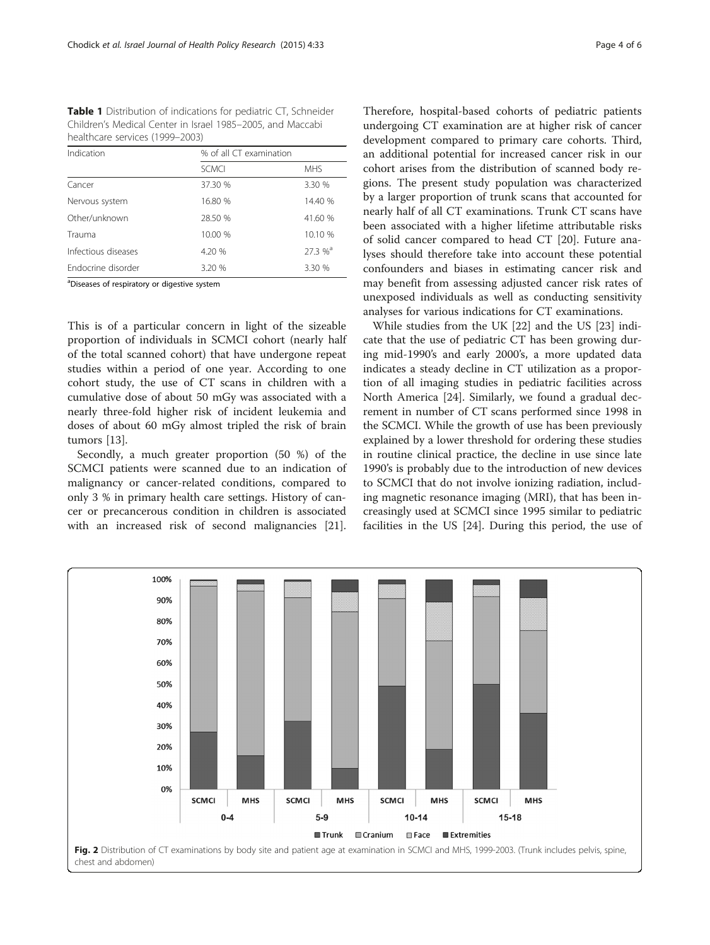<span id="page-3-0"></span>Table 1 Distribution of indications for pediatric CT, Schneider Children's Medical Center in Israel 1985–2005, and Maccabi healthcare services (1999–2003)

| Indication          | % of all CT examination |            |  |  |
|---------------------|-------------------------|------------|--|--|
|                     | <b>SCMCI</b>            | <b>MHS</b> |  |  |
| Cancer              | 37.30 %                 | 3.30 %     |  |  |
| Nervous system      | 16.80 %                 | 14.40 %    |  |  |
| Other/unknown       | 28.50 %                 | 41.60 %    |  |  |
| Trauma              | 10.00 %                 | 10.10 %    |  |  |
| Infectious diseases | 4.20 %                  | 27.3%      |  |  |
| Endocrine disorder  | 3.20 %                  | 3.30 %     |  |  |

<sup>a</sup>Diseases of respiratory or digestive system

This is of a particular concern in light of the sizeable proportion of individuals in SCMCI cohort (nearly half of the total scanned cohort) that have undergone repeat studies within a period of one year. According to one cohort study, the use of CT scans in children with a cumulative dose of about 50 mGy was associated with a nearly three-fold higher risk of incident leukemia and doses of about 60 mGy almost tripled the risk of brain tumors [\[13\]](#page-5-0).

Secondly, a much greater proportion (50 %) of the SCMCI patients were scanned due to an indication of malignancy or cancer-related conditions, compared to only 3 % in primary health care settings. History of cancer or precancerous condition in children is associated with an increased risk of second malignancies [\[21](#page-5-0)].

Therefore, hospital-based cohorts of pediatric patients undergoing CT examination are at higher risk of cancer development compared to primary care cohorts. Third, an additional potential for increased cancer risk in our cohort arises from the distribution of scanned body regions. The present study population was characterized by a larger proportion of trunk scans that accounted for nearly half of all CT examinations. Trunk CT scans have been associated with a higher lifetime attributable risks of solid cancer compared to head CT [[20\]](#page-5-0). Future analyses should therefore take into account these potential confounders and biases in estimating cancer risk and may benefit from assessing adjusted cancer risk rates of unexposed individuals as well as conducting sensitivity analyses for various indications for CT examinations.

While studies from the UK [[22](#page-5-0)] and the US [[23\]](#page-5-0) indicate that the use of pediatric CT has been growing during mid-1990's and early 2000's, a more updated data indicates a steady decline in CT utilization as a proportion of all imaging studies in pediatric facilities across North America [[24\]](#page-5-0). Similarly, we found a gradual decrement in number of CT scans performed since 1998 in the SCMCI. While the growth of use has been previously explained by a lower threshold for ordering these studies in routine clinical practice, the decline in use since late 1990's is probably due to the introduction of new devices to SCMCI that do not involve ionizing radiation, including magnetic resonance imaging (MRI), that has been increasingly used at SCMCI since 1995 similar to pediatric facilities in the US [\[24](#page-5-0)]. During this period, the use of

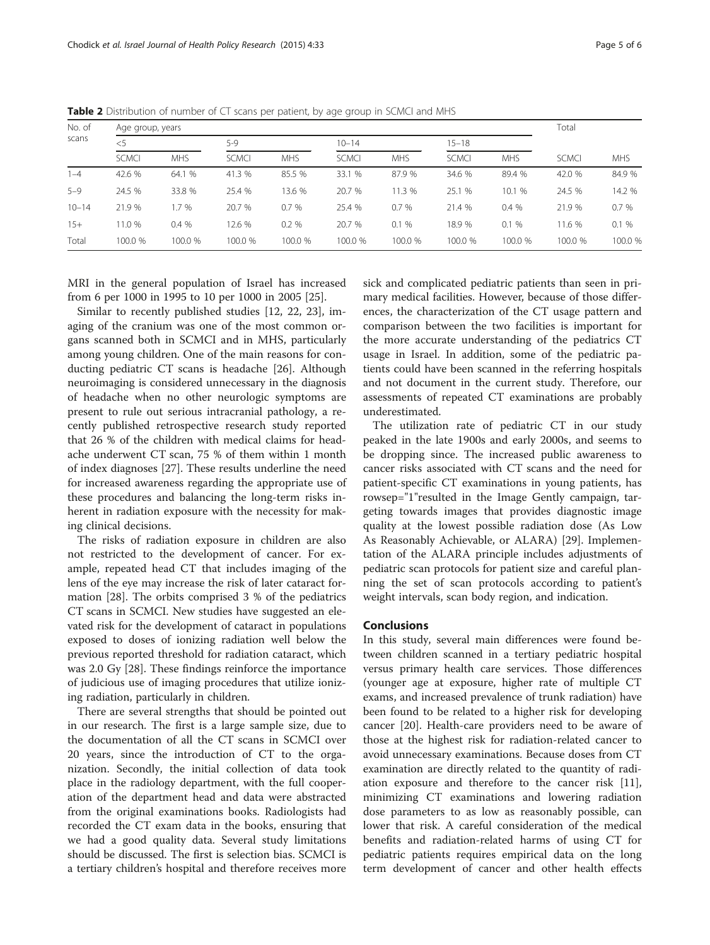| No. of<br>scans |              | Age group, years |              |            |              |            |              |            | Total        |            |
|-----------------|--------------|------------------|--------------|------------|--------------|------------|--------------|------------|--------------|------------|
|                 | $<$ 5        |                  | $5-9$        |            | $10 - 14$    |            | $15 - 18$    |            |              |            |
|                 | <b>SCMCI</b> | <b>MHS</b>       | <b>SCMCI</b> | <b>MHS</b> | <b>SCMCI</b> | <b>MHS</b> | <b>SCMCI</b> | <b>MHS</b> | <b>SCMCI</b> | <b>MHS</b> |
| $1 - 4$         | 42.6 %       | 64.1 %           | 41.3 %       | 85.5 %     | 33.1 %       | 87.9 %     | 34.6 %       | 89.4 %     | 42.0 %       | 84.9 %     |
| $5 - 9$         | 24.5 %       | 33.8 %           | 25.4 %       | 13.6 %     | 20.7 %       | 1.3 %      | 25.1 %       | 10.1 %     | 24.5 %       | 14.2 %     |
| $10 - 14$       | 21.9 %       | 1.7%             | 20.7 %       | 0.7%       | 25.4 %       | 0.7%       | 21.4 %       | 0.4%       | 21.9 %       | 0.7%       |
| $15+$           | 11.0 %       | 0.4%             | 12.6 %       | 0.2%       | 20.7 %       | 0.1%       | 18.9 %       | 0.1%       | 11.6 %       | 0.1%       |
| Total           | 100.0 %      | 100.0 %          | 100.0 %      | 100.0 %    | 100.0 %      | 100.0 %    | 100.0 %      | 100.0 %    | 100.0 %      | 100.0 %    |

<span id="page-4-0"></span>Table 2 Distribution of number of CT scans per patient, by age group in SCMCI and MHS

MRI in the general population of Israel has increased from 6 per 1000 in 1995 to 10 per 1000 in 2005 [\[25\]](#page-5-0).

Similar to recently published studies [\[12](#page-5-0), [22, 23\]](#page-5-0), imaging of the cranium was one of the most common organs scanned both in SCMCI and in MHS, particularly among young children. One of the main reasons for conducting pediatric CT scans is headache [\[26](#page-5-0)]. Although neuroimaging is considered unnecessary in the diagnosis of headache when no other neurologic symptoms are present to rule out serious intracranial pathology, a recently published retrospective research study reported that 26 % of the children with medical claims for headache underwent CT scan, 75 % of them within 1 month of index diagnoses [\[27](#page-5-0)]. These results underline the need for increased awareness regarding the appropriate use of these procedures and balancing the long-term risks inherent in radiation exposure with the necessity for making clinical decisions.

The risks of radiation exposure in children are also not restricted to the development of cancer. For example, repeated head CT that includes imaging of the lens of the eye may increase the risk of later cataract formation [\[28](#page-5-0)]. The orbits comprised 3 % of the pediatrics CT scans in SCMCI. New studies have suggested an elevated risk for the development of cataract in populations exposed to doses of ionizing radiation well below the previous reported threshold for radiation cataract, which was 2.0 Gy [[28](#page-5-0)]. These findings reinforce the importance of judicious use of imaging procedures that utilize ionizing radiation, particularly in children.

There are several strengths that should be pointed out in our research. The first is a large sample size, due to the documentation of all the CT scans in SCMCI over 20 years, since the introduction of CT to the organization. Secondly, the initial collection of data took place in the radiology department, with the full cooperation of the department head and data were abstracted from the original examinations books. Radiologists had recorded the CT exam data in the books, ensuring that we had a good quality data. Several study limitations should be discussed. The first is selection bias. SCMCI is a tertiary children's hospital and therefore receives more

sick and complicated pediatric patients than seen in primary medical facilities. However, because of those differences, the characterization of the CT usage pattern and comparison between the two facilities is important for the more accurate understanding of the pediatrics CT usage in Israel. In addition, some of the pediatric patients could have been scanned in the referring hospitals and not document in the current study. Therefore, our assessments of repeated CT examinations are probably underestimated.

The utilization rate of pediatric CT in our study peaked in the late 1900s and early 2000s, and seems to be dropping since. The increased public awareness to cancer risks associated with CT scans and the need for patient-specific CT examinations in young patients, has rowsep="1"resulted in the Image Gently campaign, targeting towards images that provides diagnostic image quality at the lowest possible radiation dose (As Low As Reasonably Achievable, or ALARA) [[29](#page-5-0)]. Implementation of the ALARA principle includes adjustments of pediatric scan protocols for patient size and careful planning the set of scan protocols according to patient's weight intervals, scan body region, and indication.

#### Conclusions

In this study, several main differences were found between children scanned in a tertiary pediatric hospital versus primary health care services. Those differences (younger age at exposure, higher rate of multiple CT exams, and increased prevalence of trunk radiation) have been found to be related to a higher risk for developing cancer [[20\]](#page-5-0). Health-care providers need to be aware of those at the highest risk for radiation-related cancer to avoid unnecessary examinations. Because doses from CT examination are directly related to the quantity of radiation exposure and therefore to the cancer risk [\[11](#page-5-0)], minimizing CT examinations and lowering radiation dose parameters to as low as reasonably possible, can lower that risk. A careful consideration of the medical benefits and radiation-related harms of using CT for pediatric patients requires empirical data on the long term development of cancer and other health effects